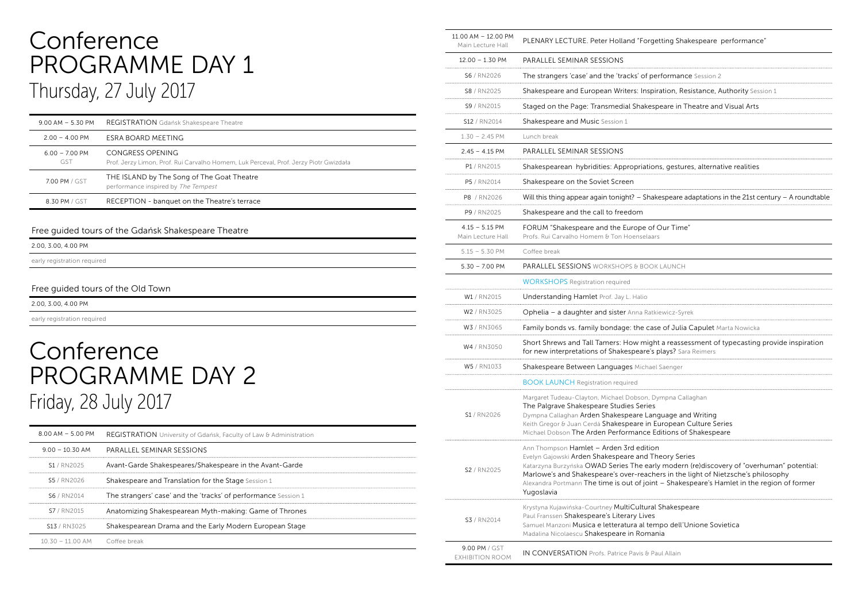### Conference PROGRAMME DAY 1 Thursday, 27 July 2017

| $9.00$ AM $-5.30$ PM            | <b>REGISTRATION</b> Gdańsk Shakespeare Theatre                                                            |
|---------------------------------|-----------------------------------------------------------------------------------------------------------|
| $2.00 - 4.00 P$ M               | ESRA BOARD MEETING                                                                                        |
| $6.00 - 7.00 P$ M<br><b>GST</b> | CONGRESS OPENING<br>Prof. Jerzy Limon, Prof. Rui Carvalho Homem, Luk Perceval, Prof. Jerzy Piotr Gwizdała |
| 7.00 PM / GST                   | THE ISLAND by The Song of The Goat Theatre<br>performance inspired by The Tempest                         |
| 8.30 PM / GST                   | RECEPTION - banquet on the Theatre's terrace                                                              |

#### Free guided tours of the Gdańsk Shakespeare Theatre

|  | 2.00, 3.00, 4.00 PM         |  |  |
|--|-----------------------------|--|--|
|  | early registration required |  |  |
|  |                             |  |  |

#### Free guided tours of the Old Town

2.00, 3.00, 4.00 PM

early registration required

### **Conference** PROGRAMME DAY 2 Friday, 28 July 2017

| $8.00$ AM $-$ 5.00 PM                | REGISTRATION University of Gdańsk, Faculty of Law & Administration |
|--------------------------------------|--------------------------------------------------------------------|
| $9.00 - 10.30$ AM                    | PARALLEL SEMINAR SESSIONS                                          |
| S1 / RN2025                          | Avant-Garde Shakespeares/Shakespeare in the Avant-Garde            |
| S5/RN2026                            | <b>Shakespeare and Translation for the Stage</b> Session 1         |
| S6 / RN2014                          | The strangers' case' and the 'tracks' of performance Session 1     |
| S7/RN2015                            | Anatomizing Shakespearean Myth-making: Game of Thrones             |
| S <sub>13</sub> / RN <sub>3025</sub> | Shakespearean Drama and the Early Modern European Stage            |
| $10.30 - 11.00$ AM Coffee break      |                                                                    |

| $12.00 - 1.30$ PM<br>PARALLEL SEMINAR SESSIONS<br>S6 / RN2026<br>The strangers 'case' and the 'tracks' of performance Session 2<br>Shakespeare and European Writers: Inspiration, Resistance, Authority Session 1<br>S8 / RN2025<br>S9 / RN2015<br>Staged on the Page: Transmedial Shakespeare in Theatre and Visual Arts<br>S12 / RN2014<br>Shakespeare and Music Session 1<br>$1.30 - 2.45$ PM<br>Lunch break<br>PARALLEL SEMINAR SESSIONS<br>$2.45 - 4.15$ PM<br>P1 / RN2015<br>Shakespearean hybridities: Appropriations, gestures, alternative realities<br>P5 / RN2014<br>Shakespeare on the Soviet Screen<br>Will this thing appear again tonight? – Shakespeare adaptations in the 21st century – A roundtable<br>P8 / RN2026<br>P9 / RN2025<br>Shakespeare and the call to freedom<br>$4.15 - 5.15$ PM<br>FORUM "Shakespeare and the Europe of Our Time"<br>Profs. Rui Carvalho Homem & Ton Hoenselaars<br>Main Lecture Hall<br>$5.15 - 5.30$ PM<br>Coffee break<br>PARALLEL SESSIONS WORKSHOPS & BOOK LAUNCH<br>$5.30 - 7.00$ PM<br><b>WORKSHOPS</b> Registration required<br>W1 / RN2015<br>Understanding Hamlet Prof. Jay L. Halio<br>W2 / RN3025<br>Ophelia - a daughter and sister Anna Ratkiewicz-Syrek<br>Family bonds vs. family bondage: the case of Julia Capulet Marta Nowicka<br>W3 / RN3065<br>Short Shrews and Tall Tamers: How might a reassessment of typecasting provide inspiration<br>W4 / RN3050<br>for new interpretations of Shakespeare's plays? Sara Reimers<br>W5 / RN1033<br>Shakespeare Between Languages Michael Saenger<br><b>BOOK LAUNCH Registration required</b> |  |
|-----------------------------------------------------------------------------------------------------------------------------------------------------------------------------------------------------------------------------------------------------------------------------------------------------------------------------------------------------------------------------------------------------------------------------------------------------------------------------------------------------------------------------------------------------------------------------------------------------------------------------------------------------------------------------------------------------------------------------------------------------------------------------------------------------------------------------------------------------------------------------------------------------------------------------------------------------------------------------------------------------------------------------------------------------------------------------------------------------------------------------------------------------------------------------------------------------------------------------------------------------------------------------------------------------------------------------------------------------------------------------------------------------------------------------------------------------------------------------------------------------------------------------------------------------------------------------------------------------------|--|
|                                                                                                                                                                                                                                                                                                                                                                                                                                                                                                                                                                                                                                                                                                                                                                                                                                                                                                                                                                                                                                                                                                                                                                                                                                                                                                                                                                                                                                                                                                                                                                                                           |  |
|                                                                                                                                                                                                                                                                                                                                                                                                                                                                                                                                                                                                                                                                                                                                                                                                                                                                                                                                                                                                                                                                                                                                                                                                                                                                                                                                                                                                                                                                                                                                                                                                           |  |
|                                                                                                                                                                                                                                                                                                                                                                                                                                                                                                                                                                                                                                                                                                                                                                                                                                                                                                                                                                                                                                                                                                                                                                                                                                                                                                                                                                                                                                                                                                                                                                                                           |  |
|                                                                                                                                                                                                                                                                                                                                                                                                                                                                                                                                                                                                                                                                                                                                                                                                                                                                                                                                                                                                                                                                                                                                                                                                                                                                                                                                                                                                                                                                                                                                                                                                           |  |
|                                                                                                                                                                                                                                                                                                                                                                                                                                                                                                                                                                                                                                                                                                                                                                                                                                                                                                                                                                                                                                                                                                                                                                                                                                                                                                                                                                                                                                                                                                                                                                                                           |  |
|                                                                                                                                                                                                                                                                                                                                                                                                                                                                                                                                                                                                                                                                                                                                                                                                                                                                                                                                                                                                                                                                                                                                                                                                                                                                                                                                                                                                                                                                                                                                                                                                           |  |
|                                                                                                                                                                                                                                                                                                                                                                                                                                                                                                                                                                                                                                                                                                                                                                                                                                                                                                                                                                                                                                                                                                                                                                                                                                                                                                                                                                                                                                                                                                                                                                                                           |  |
|                                                                                                                                                                                                                                                                                                                                                                                                                                                                                                                                                                                                                                                                                                                                                                                                                                                                                                                                                                                                                                                                                                                                                                                                                                                                                                                                                                                                                                                                                                                                                                                                           |  |
|                                                                                                                                                                                                                                                                                                                                                                                                                                                                                                                                                                                                                                                                                                                                                                                                                                                                                                                                                                                                                                                                                                                                                                                                                                                                                                                                                                                                                                                                                                                                                                                                           |  |
|                                                                                                                                                                                                                                                                                                                                                                                                                                                                                                                                                                                                                                                                                                                                                                                                                                                                                                                                                                                                                                                                                                                                                                                                                                                                                                                                                                                                                                                                                                                                                                                                           |  |
|                                                                                                                                                                                                                                                                                                                                                                                                                                                                                                                                                                                                                                                                                                                                                                                                                                                                                                                                                                                                                                                                                                                                                                                                                                                                                                                                                                                                                                                                                                                                                                                                           |  |
|                                                                                                                                                                                                                                                                                                                                                                                                                                                                                                                                                                                                                                                                                                                                                                                                                                                                                                                                                                                                                                                                                                                                                                                                                                                                                                                                                                                                                                                                                                                                                                                                           |  |
|                                                                                                                                                                                                                                                                                                                                                                                                                                                                                                                                                                                                                                                                                                                                                                                                                                                                                                                                                                                                                                                                                                                                                                                                                                                                                                                                                                                                                                                                                                                                                                                                           |  |
|                                                                                                                                                                                                                                                                                                                                                                                                                                                                                                                                                                                                                                                                                                                                                                                                                                                                                                                                                                                                                                                                                                                                                                                                                                                                                                                                                                                                                                                                                                                                                                                                           |  |
|                                                                                                                                                                                                                                                                                                                                                                                                                                                                                                                                                                                                                                                                                                                                                                                                                                                                                                                                                                                                                                                                                                                                                                                                                                                                                                                                                                                                                                                                                                                                                                                                           |  |
|                                                                                                                                                                                                                                                                                                                                                                                                                                                                                                                                                                                                                                                                                                                                                                                                                                                                                                                                                                                                                                                                                                                                                                                                                                                                                                                                                                                                                                                                                                                                                                                                           |  |
|                                                                                                                                                                                                                                                                                                                                                                                                                                                                                                                                                                                                                                                                                                                                                                                                                                                                                                                                                                                                                                                                                                                                                                                                                                                                                                                                                                                                                                                                                                                                                                                                           |  |
|                                                                                                                                                                                                                                                                                                                                                                                                                                                                                                                                                                                                                                                                                                                                                                                                                                                                                                                                                                                                                                                                                                                                                                                                                                                                                                                                                                                                                                                                                                                                                                                                           |  |
|                                                                                                                                                                                                                                                                                                                                                                                                                                                                                                                                                                                                                                                                                                                                                                                                                                                                                                                                                                                                                                                                                                                                                                                                                                                                                                                                                                                                                                                                                                                                                                                                           |  |
|                                                                                                                                                                                                                                                                                                                                                                                                                                                                                                                                                                                                                                                                                                                                                                                                                                                                                                                                                                                                                                                                                                                                                                                                                                                                                                                                                                                                                                                                                                                                                                                                           |  |
|                                                                                                                                                                                                                                                                                                                                                                                                                                                                                                                                                                                                                                                                                                                                                                                                                                                                                                                                                                                                                                                                                                                                                                                                                                                                                                                                                                                                                                                                                                                                                                                                           |  |
| Margaret Tudeau-Clayton, Michael Dobson, Dympna Callaghan<br>The Palgrave Shakespeare Studies Series<br>Dympna Callaghan Arden Shakespeare Language and Writing<br>S1 / RN2026<br>Keith Gregor & Juan Cerdá Shakespeare in European Culture Series<br>Michael Dobson The Arden Performance Editions of Shakespeare                                                                                                                                                                                                                                                                                                                                                                                                                                                                                                                                                                                                                                                                                                                                                                                                                                                                                                                                                                                                                                                                                                                                                                                                                                                                                        |  |
| Ann Thompson Hamlet - Arden 3rd edition<br>Evelyn Gajowski Arden Shakespeare and Theory Series<br>Katarzyna Burzyńska OWAD Series The early modern (re)discovery of "overhuman" potential:<br>S2 / RN2025<br>Marlowe's and Shakespeare's over-reachers in the light of Nietzsche's philosophy<br>Alexandra Portmann The time is out of joint - Shakespeare's Hamlet in the region of former<br>Yugoslavia                                                                                                                                                                                                                                                                                                                                                                                                                                                                                                                                                                                                                                                                                                                                                                                                                                                                                                                                                                                                                                                                                                                                                                                                 |  |
| Krystyna Kujawińska-Courtney MultiCultural Shakespeare<br>Paul Franssen Shakespeare's Literary Lives<br>S3 / RN2014<br>Samuel Manzoni Musica e letteratura al tempo dell'Unione Sovietica<br>Madalina Nicolaescu Shakespeare in Romania                                                                                                                                                                                                                                                                                                                                                                                                                                                                                                                                                                                                                                                                                                                                                                                                                                                                                                                                                                                                                                                                                                                                                                                                                                                                                                                                                                   |  |
| 9.00 PM / GST<br><b>IN CONVERSATION</b> Profs. Patrice Pavis & Paul Allain<br><b>EXHIBITION ROOM</b>                                                                                                                                                                                                                                                                                                                                                                                                                                                                                                                                                                                                                                                                                                                                                                                                                                                                                                                                                                                                                                                                                                                                                                                                                                                                                                                                                                                                                                                                                                      |  |